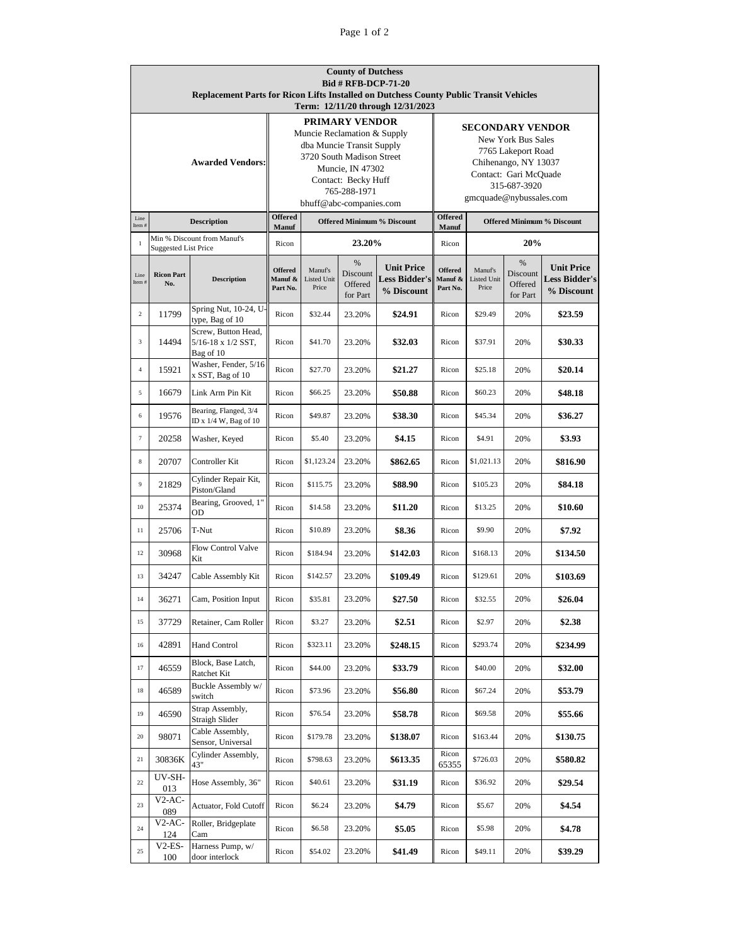| <b>County of Dutchess</b>                                                                     |                                                            |                                                |                                                      |                                               |          |                                    |                                         |                                                                     |          |                                    |  |  |
|-----------------------------------------------------------------------------------------------|------------------------------------------------------------|------------------------------------------------|------------------------------------------------------|-----------------------------------------------|----------|------------------------------------|-----------------------------------------|---------------------------------------------------------------------|----------|------------------------------------|--|--|
| <b>Bid # RFB-DCP-71-20</b>                                                                    |                                                            |                                                |                                                      |                                               |          |                                    |                                         |                                                                     |          |                                    |  |  |
| <b>Replacement Parts for Ricon Lifts Installed on Dutchess County Public Transit Vehicles</b> |                                                            |                                                |                                                      |                                               |          |                                    |                                         |                                                                     |          |                                    |  |  |
| Term: 12/11/20 through 12/31/2023                                                             |                                                            |                                                |                                                      |                                               |          |                                    |                                         |                                                                     |          |                                    |  |  |
|                                                                                               |                                                            |                                                | <b>PRIMARY VENDOR</b><br>Muncie Reclamation & Supply |                                               |          |                                    | <b>SECONDARY VENDOR</b>                 |                                                                     |          |                                    |  |  |
|                                                                                               |                                                            |                                                | dba Muncie Transit Supply                            |                                               |          |                                    | <b>New York Bus Sales</b>               |                                                                     |          |                                    |  |  |
|                                                                                               | <b>Awarded Vendors:</b>                                    |                                                |                                                      | 3720 South Madison Street<br>Muncie, IN 47302 |          |                                    |                                         | 7765 Lakeport Road<br>Chihenango, NY 13037<br>Contact: Gari McQuade |          |                                    |  |  |
|                                                                                               |                                                            |                                                |                                                      |                                               |          |                                    |                                         |                                                                     |          |                                    |  |  |
|                                                                                               |                                                            |                                                | Contact: Becky Huff                                  |                                               |          |                                    | 315-687-3920<br>gmcquade@nybussales.com |                                                                     |          |                                    |  |  |
|                                                                                               |                                                            |                                                | 765-288-1971<br>bhuff@abc-companies.com              |                                               |          |                                    |                                         |                                                                     |          |                                    |  |  |
| Line                                                                                          |                                                            |                                                |                                                      | <b>Offered</b>                                |          |                                    |                                         | <b>Offered</b>                                                      |          |                                    |  |  |
| Item#                                                                                         | <b>Description</b>                                         |                                                |                                                      | <b>Offered Minimum % Discount</b><br>Manuf    |          |                                    |                                         | <b>Offered Minimum % Discount</b><br>Manuf                          |          |                                    |  |  |
| $\mathbf{1}$                                                                                  | Min % Discount from Manuf's<br><b>Suggested List Price</b> |                                                | Ricon                                                | 23.20%                                        |          |                                    | Ricon                                   | 20%                                                                 |          |                                    |  |  |
|                                                                                               |                                                            |                                                |                                                      |                                               | %        |                                    |                                         |                                                                     | %        |                                    |  |  |
| Line                                                                                          | <b>Ricon Part</b>                                          |                                                | <b>Offered</b>                                       | Manuf's                                       | Discount | <b>Unit Price</b>                  | <b>Offered</b>                          | Manuf's                                                             | Discount | <b>Unit Price</b>                  |  |  |
| Item#                                                                                         | No.                                                        | <b>Description</b>                             | Manuf &<br>Part No.                                  | <b>Listed Unit</b><br>Price                   | Offered  | <b>Less Bidder's</b><br>% Discount | Manuf &<br>Part No.                     | <b>Listed Unit</b><br>Price                                         | Offered  | <b>Less Bidder's</b><br>% Discount |  |  |
|                                                                                               |                                                            |                                                |                                                      |                                               | for Part |                                    |                                         |                                                                     | for Part |                                    |  |  |
| $\overline{c}$                                                                                | 11799                                                      | Spring Nut, 10-24, U-<br>type, Bag of 10       | Ricon                                                | \$32.44                                       | 23.20%   | \$24.91                            | Ricon                                   | \$29.49                                                             | 20%      | \$23.59                            |  |  |
| 3                                                                                             | 14494                                                      | Screw, Button Head,<br>$5/16-18$ x $1/2$ SST,  | Ricon                                                | \$41.70                                       | 23.20%   | \$32.03                            | Ricon                                   | \$37.91                                                             | 20%      | \$30.33                            |  |  |
|                                                                                               |                                                            | Bag of 10                                      |                                                      |                                               |          |                                    |                                         |                                                                     |          |                                    |  |  |
| $\sqrt{4}$                                                                                    | 15921                                                      | Washer, Fender, 5/16<br>x SST, Bag of 10       | Ricon                                                | \$27.70                                       | 23.20%   | \$21.27                            | Ricon                                   | \$25.18                                                             | 20%      | \$20.14                            |  |  |
| 5                                                                                             | 16679                                                      | Link Arm Pin Kit                               | Ricon                                                | \$66.25                                       | 23.20%   | \$50.88                            | Ricon                                   | \$60.23                                                             | 20%      | \$48.18                            |  |  |
| 6                                                                                             | 19576                                                      | Bearing, Flanged, 3/4<br>ID x 1/4 W, Bag of 10 | Ricon                                                | \$49.87                                       | 23.20%   | \$38.30                            | Ricon                                   | \$45.34                                                             | 20%      | \$36.27                            |  |  |
| $\boldsymbol{7}$                                                                              | 20258                                                      | Washer, Keyed                                  | Ricon                                                | \$5.40                                        | 23.20%   | \$4.15                             | Ricon                                   | \$4.91                                                              | 20%      | \$3.93                             |  |  |
| 8                                                                                             | 20707                                                      | Controller Kit                                 | Ricon                                                | \$1,123.24                                    | 23.20%   | \$862.65                           | Ricon                                   | \$1,021.13                                                          | 20%      | \$816.90                           |  |  |
| 9                                                                                             | 21829                                                      | Cylinder Repair Kit,<br>Piston/Gland           | Ricon                                                | \$115.75                                      | 23.20%   | \$88.90                            | Ricon                                   | \$105.23                                                            | 20%      | \$84.18                            |  |  |
| 10                                                                                            | 25374                                                      | Bearing, Grooved, 1"<br>OD                     | Ricon                                                | \$14.58                                       | 23.20%   | \$11.20                            | Ricon                                   | \$13.25                                                             | 20%      | \$10.60                            |  |  |
| 11                                                                                            | 25706                                                      | T-Nut                                          | Ricon                                                | \$10.89                                       | 23.20%   | \$8.36                             | Ricon                                   | \$9.90                                                              | 20%      | \$7.92                             |  |  |
| 12                                                                                            | 30968                                                      | Flow Control Valve<br>Kit                      | Ricon                                                | \$184.94                                      | 23.20%   | \$142.03                           | Ricon                                   | \$168.13                                                            | 20%      | \$134.50                           |  |  |
| 13                                                                                            | 34247                                                      | Cable Assembly Kit                             | Ricon                                                | \$142.57                                      | 23.20%   | \$109.49                           | Ricon                                   | \$129.61                                                            | 20%      | \$103.69                           |  |  |
| 14                                                                                            | 36271                                                      | Cam, Position Input                            | Ricon                                                | \$35.81                                       | 23.20%   | \$27.50                            | Ricon                                   | \$32.55                                                             | 20%      | \$26.04                            |  |  |
| 15                                                                                            | 37729                                                      | Retainer, Cam Roller                           | Ricon                                                | \$3.27                                        | 23.20%   | \$2.51                             | Ricon                                   | \$2.97                                                              | 20%      | \$2.38                             |  |  |
| 16                                                                                            | 42891                                                      | Hand Control                                   | Ricon                                                | \$323.11                                      | 23.20%   | \$248.15                           | Ricon                                   | \$293.74                                                            | 20%      | \$234.99                           |  |  |
| 17                                                                                            | 46559                                                      | Block, Base Latch,<br>Ratchet Kit              | Ricon                                                | \$44.00                                       | 23.20%   | \$33.79                            | Ricon                                   | \$40.00                                                             | 20%      | \$32.00                            |  |  |
| 18                                                                                            | 46589                                                      | Buckle Assembly w/<br>switch                   | Ricon                                                | \$73.96                                       | 23.20%   | \$56.80                            | Ricon                                   | \$67.24                                                             | 20%      | \$53.79                            |  |  |
| 19                                                                                            | 46590                                                      | Strap Assembly,<br>Straigh Slider              | Ricon                                                | \$76.54                                       | 23.20%   | \$58.78                            | Ricon                                   | \$69.58                                                             | 20%      | \$55.66                            |  |  |
| $20\,$                                                                                        | 98071                                                      | Cable Assembly,<br>Sensor, Universal           | Ricon                                                | \$179.78                                      | 23.20%   | \$138.07                           | Ricon                                   | \$163.44                                                            | 20%      | \$130.75                           |  |  |
| 21                                                                                            | 30836K                                                     | Cylinder Assembly,<br>43"                      | Ricon                                                | \$798.63                                      | 23.20%   | \$613.35                           | Ricon<br>65355                          | \$726.03                                                            | 20%      | \$580.82                           |  |  |
| $22\,$                                                                                        | UV-SH-<br>013                                              | Hose Assembly, 36"                             | Ricon                                                | \$40.61                                       | 23.20%   | \$31.19                            | Ricon                                   | \$36.92                                                             | 20%      | \$29.54                            |  |  |
| 23                                                                                            | $V2$ -AC-<br>089                                           | Actuator, Fold Cutoff                          | Ricon                                                | \$6.24                                        | 23.20%   | \$4.79                             | Ricon                                   | \$5.67                                                              | 20%      | \$4.54                             |  |  |
| 24                                                                                            | $V2$ -AC-<br>124                                           | Roller, Bridgeplate<br>Cam                     | Ricon                                                | \$6.58                                        | 23.20%   | \$5.05                             | Ricon                                   | \$5.98                                                              | 20%      | \$4.78                             |  |  |
| 25                                                                                            | V2-ES-<br>100                                              | Harness Pump, w/<br>door interlock             | Ricon                                                | \$54.02                                       | 23.20%   | \$41.49                            | Ricon                                   | \$49.11                                                             | 20%      | \$39.29                            |  |  |